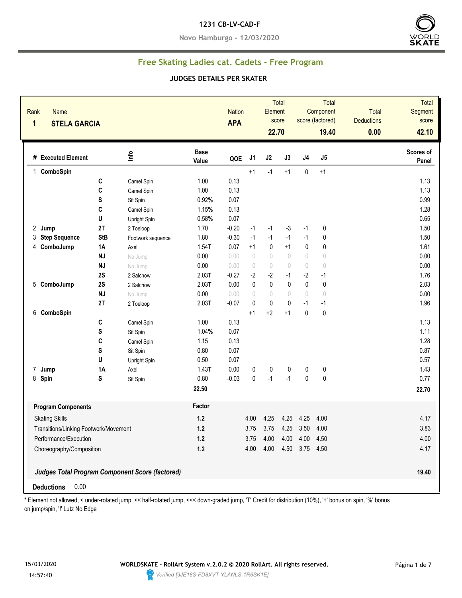#### **1231 CB-LV-CAD-F**

**Novo Hamburgo - 12/03/2020**



## **Free Skating Ladies cat. Cadets - Free Program**

#### **JUDGES DETAILS PER SKATER**

| Rank<br><b>Name</b><br>1<br><b>STELA GARCIA</b> |             |                                                        |                      | <b>Nation</b><br><b>APA</b> |                                  | Element<br>22.70 | Total<br>score |              | <b>Total</b><br>Component<br>score (factored)<br>19.40 | <b>Total</b><br><b>Deductions</b><br>0.00 | <b>Total</b><br>Segment<br>score<br>42.10 |
|-------------------------------------------------|-------------|--------------------------------------------------------|----------------------|-----------------------------|----------------------------------|------------------|----------------|--------------|--------------------------------------------------------|-------------------------------------------|-------------------------------------------|
| # Executed Element                              |             | lnfo                                                   | <b>Base</b><br>Value | QOE                         | J1                               | J2               | J3             | J4           | J5                                                     |                                           | Scores of<br>Panel                        |
| 1 ComboSpin                                     |             |                                                        |                      |                             | $+1$                             | $-1$             | $+1$           | 0            | $+1$                                                   |                                           |                                           |
|                                                 | C           | Camel Spin                                             | 1.00                 | 0.13                        |                                  |                  |                |              |                                                        |                                           | 1.13                                      |
|                                                 | C           | Camel Spin                                             | 1.00                 | 0.13                        |                                  |                  |                |              |                                                        |                                           | 1.13                                      |
|                                                 | $\mathbf S$ | Sit Spin                                               | 0.92%                | 0.07                        |                                  |                  |                |              |                                                        |                                           | 0.99                                      |
|                                                 | C           | Camel Spin                                             | 1.15%                | 0.13                        |                                  |                  |                |              |                                                        |                                           | 1.28                                      |
|                                                 | U           | Upright Spin                                           | 0.58%                | 0.07                        |                                  |                  |                |              |                                                        |                                           | 0.65                                      |
| 2 Jump                                          | 2T          | 2 Toeloop                                              | 1.70                 | $-0.20$                     | $-1$                             | $-1$             | $-3$           | $-1$         | 0                                                      |                                           | 1.50                                      |
| <b>Step Sequence</b><br>3                       | <b>StB</b>  | Footwork sequence                                      | 1.80                 | $-0.30$                     | $-1$                             | $-1$             | $-1$           | $-1$         | 0                                                      |                                           | 1.50                                      |
| ComboJump<br>4                                  | <b>1A</b>   | Axel                                                   | $1.54$ T             | 0.07                        | $+1$                             | $\pmb{0}$        | $+1$           | $\pmb{0}$    | $\pmb{0}$                                              |                                           | 1.61                                      |
|                                                 | <b>NJ</b>   | No Jump                                                | 0.00                 | 0.00                        | $\sqrt{2}$                       | $\sqrt{ }$       | $\sqrt{ }$     | $\bigcirc$   | $\bigcirc$                                             |                                           | 0.00                                      |
|                                                 | <b>NJ</b>   | No Jump                                                | 0.00                 | 0.00                        | $\begin{array}{c} \n\end{array}$ | $\bigcirc$       | $\bigcirc$     | $\bigcirc$   | $\bigcirc$                                             |                                           | 0.00                                      |
|                                                 | 2S          | 2 Salchow                                              | 2.03T                | $-0.27$                     | $-2$                             | $-2$             | $-1$           | $-2$         | $-1$                                                   |                                           | 1.76                                      |
| 5 ComboJump                                     | 2S          | 2 Salchow                                              | 2.03T                | 0.00                        | $\mathbf 0$                      | $\mathbf{0}$     | $\mathbf{0}$   | $\mathbf{0}$ | 0                                                      |                                           | 2.03                                      |
|                                                 | <b>NJ</b>   | No Jump                                                | 0.00                 | 0.00                        | $\theta$                         | $\theta$         | $\sqrt{ }$     | $\sqrt{ }$   | $\theta$                                               |                                           | 0.00                                      |
|                                                 | 2T          | 2 Toeloop                                              | 2.03T                | $-0.07$                     | $\mathbf{0}$                     | $\pmb{0}$        | $\pmb{0}$      | $-1$         | $-1$                                                   |                                           | 1.96                                      |
| 6 ComboSpin                                     |             |                                                        |                      |                             | $+1$                             | $+2$             | $+1$           | $\mathbf{0}$ | $\mathbf 0$                                            |                                           |                                           |
|                                                 | C           | Camel Spin                                             | 1.00                 | 0.13                        |                                  |                  |                |              |                                                        |                                           | 1.13                                      |
|                                                 | ${\sf s}$   | Sit Spin                                               | 1.04%                | 0.07                        |                                  |                  |                |              |                                                        |                                           | 1.11                                      |
|                                                 | C           | Camel Spin                                             | 1.15                 | 0.13                        |                                  |                  |                |              |                                                        |                                           | 1.28                                      |
|                                                 | S           | Sit Spin                                               | 0.80                 | 0.07                        |                                  |                  |                |              |                                                        |                                           | 0.87                                      |
|                                                 | U           | Upright Spin                                           | 0.50                 | 0.07                        |                                  |                  |                |              |                                                        |                                           | 0.57                                      |
| 7 Jump                                          | 1A          | Axel                                                   | 1.43T                | 0.00                        | 0                                | $\pmb{0}$        | 0              | 0            | $\pmb{0}$                                              |                                           | 1.43                                      |
| 8 Spin                                          | ${\bf S}$   | Sit Spin                                               | 0.80                 | $-0.03$                     | $\pmb{0}$                        | $-1$             | $-1$           | $\pmb{0}$    | $\pmb{0}$                                              |                                           | 0.77                                      |
|                                                 |             |                                                        | 22.50                |                             |                                  |                  |                |              |                                                        |                                           | 22.70                                     |
| <b>Program Components</b>                       |             |                                                        | Factor               |                             |                                  |                  |                |              |                                                        |                                           |                                           |
| <b>Skating Skills</b>                           |             |                                                        | $1.2$                |                             | 4.00                             | 4.25             | 4.25           | 4.25         | 4.00                                                   |                                           | 4.17                                      |
| Transitions/Linking Footwork/Movement           |             |                                                        | $1.2$                |                             | 3.75                             | 3.75             | 4.25           | 3.50         | 4.00                                                   |                                           | 3.83                                      |
| Performance/Execution                           |             |                                                        | $1.2$                |                             | 3.75                             | 4.00             | 4.00           | 4.00         | 4.50                                                   |                                           | 4.00                                      |
|                                                 |             |                                                        | $1.2$                |                             |                                  | 4.00             | 4.50           | 3.75         | 4.50                                                   |                                           | 4.17                                      |
| Choreography/Composition                        |             |                                                        |                      |                             | 4.00                             |                  |                |              |                                                        |                                           |                                           |
|                                                 |             | <b>Judges Total Program Component Score (factored)</b> |                      |                             |                                  |                  |                |              |                                                        |                                           | 19.40                                     |
| 0.00<br><b>Deductions</b>                       |             |                                                        |                      |                             |                                  |                  |                |              |                                                        |                                           |                                           |

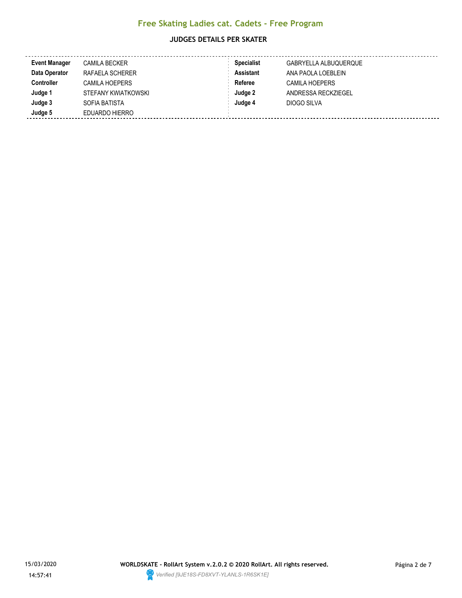#### **JUDGES DETAILS PER SKATER**

| <b>Event Manager</b> | <b>CAMILA BECKER</b>  | <b>Specialist</b> | GABRYELLA ALBUQUERQUE |
|----------------------|-----------------------|-------------------|-----------------------|
| Data Operator        | RAFAELA SCHERER       | Assistant         | ANA PAOLA LOEBLEIN    |
| <b>Controller</b>    | <b>CAMILA HOEPERS</b> | Referee           | <b>CAMILA HOEPERS</b> |
| Judge 1              | STEFANY KWIATKOWSKI   | Judge 2           | ANDRESSA RECKZIEGEL   |
| Judge 3              | SOFIA BATISTA         | Judge 4           | DIOGO SILVA           |
| Judge 5              | EDUARDO HIERRO        |                   |                       |

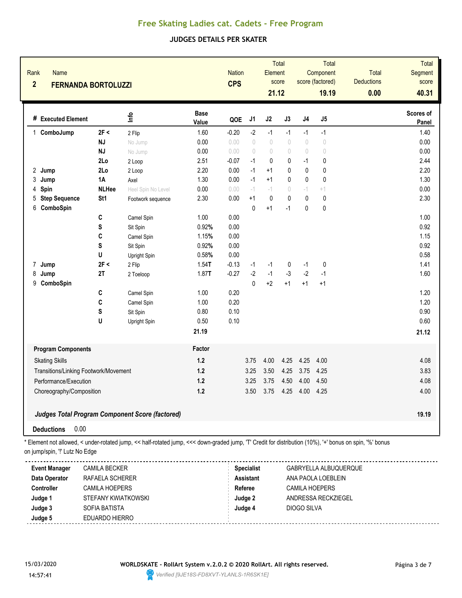#### **JUDGES DETAILS PER SKATER**

| Rank<br><b>Name</b><br>$\overline{2}$<br><b>FERNANDA BORTOLUZZI</b> |                                                        |                    |                      | <b>Nation</b><br><b>CPS</b> |                                  | Element<br>21.12 | Total<br>score                   |                                  | Total<br>Component<br>score (factored)<br>19.19 | Total<br><b>Deductions</b><br>0.00 | Total<br>Segment<br>score<br>40.31 |
|---------------------------------------------------------------------|--------------------------------------------------------|--------------------|----------------------|-----------------------------|----------------------------------|------------------|----------------------------------|----------------------------------|-------------------------------------------------|------------------------------------|------------------------------------|
| # Executed Element                                                  |                                                        | ۴ů                 | <b>Base</b><br>Value | QOE                         | J1                               | J2               | J3                               | J4                               | J5                                              |                                    | Scores of<br>Panel                 |
| 1 ComboJump                                                         | 2F <                                                   | 2 Flip             | 1.60                 | $-0.20$                     | $-2$                             | $-1$             | $-1$                             | $-1$                             | $-1$                                            |                                    | 1.40                               |
|                                                                     | <b>NJ</b>                                              | No Jump            | 0.00                 | 0.00                        | $\begin{array}{c} \n\end{array}$ | $\bigcirc$       | $\bigcirc$                       | $\begin{array}{c} \n\end{array}$ | $\circ$                                         |                                    | 0.00                               |
|                                                                     | <b>NJ</b>                                              | No Jump            | 0.00                 | 0.00                        | $\bigcirc$                       | $\bigcirc$       | $\bigcirc$                       | $\bigcirc$                       | $\begin{array}{c} \n\end{array}$                |                                    | 0.00                               |
|                                                                     | 2Lo                                                    | 2 Loop             | 2.51                 | $-0.07$                     | $-1$                             | $\mathbf 0$      | 0                                | $-1$                             | 0                                               |                                    | 2.44                               |
| $\overline{c}$<br>Jump                                              | 2Lo                                                    | 2 Loop             | 2.20                 | 0.00                        | $-1$                             | $+1$             | 0                                | $\mathbf{0}$                     | 0                                               |                                    | 2.20                               |
| 3<br>Jump                                                           | 1A                                                     | Axel               | 1.30                 | 0.00                        | $-1$                             | $+1$             | $\mathbf{0}$                     | $\mathbf{0}$                     | 0                                               |                                    | 1.30                               |
| Spin<br>4                                                           | <b>NLHee</b>                                           | Heel Spin No Level | 0.00                 | 0.00                        | $-1$                             | $-1$             | $\begin{array}{c} \n\end{array}$ | $-1$                             | $+1$                                            |                                    | 0.00                               |
| <b>Step Sequence</b><br>5                                           | St <sub>1</sub>                                        | Footwork sequence  | 2.30                 | 0.00                        | $+1$                             | $\mathbf{0}$     | $\pmb{0}$                        | $\mathbf{0}$                     | $\mathbf 0$                                     |                                    | 2.30                               |
| ComboSpin<br>6                                                      |                                                        |                    |                      |                             | $\mathbf{0}$                     | $+1$             | $-1$                             | 0                                | $\pmb{0}$                                       |                                    |                                    |
|                                                                     | C                                                      | Camel Spin         | 1.00                 | 0.00                        |                                  |                  |                                  |                                  |                                                 |                                    | 1.00                               |
|                                                                     | S                                                      | Sit Spin           | 0.92%                | 0.00                        |                                  |                  |                                  |                                  |                                                 |                                    | 0.92                               |
|                                                                     | C                                                      | Camel Spin         | 1.15%                | 0.00                        |                                  |                  |                                  |                                  |                                                 |                                    | 1.15                               |
|                                                                     | S                                                      | Sit Spin           | 0.92%                | 0.00                        |                                  |                  |                                  |                                  |                                                 |                                    | 0.92                               |
|                                                                     | U                                                      | Upright Spin       | 0.58%                | 0.00                        |                                  |                  |                                  |                                  |                                                 |                                    | 0.58                               |
| $\overline{7}$<br>Jump                                              | 2F <                                                   | 2 Flip             | $1.54$ T             | $-0.13$                     | $-1$                             | $-1$             | 0                                | $-1$                             | $\mathbf 0$                                     |                                    | 1.41                               |
| 8<br>Jump                                                           | 2T                                                     | 2 Toeloop          | 1.87T                | $-0.27$                     | $-2$                             | $-1$             | $-3$                             | $-2$                             | $-1$                                            |                                    | 1.60                               |
| 9<br>ComboSpin                                                      |                                                        |                    |                      |                             | $\Omega$                         | $+2$             | $+1$                             | $+1$                             | $+1$                                            |                                    |                                    |
|                                                                     | C                                                      | Camel Spin         | 1.00                 | 0.20                        |                                  |                  |                                  |                                  |                                                 |                                    | 1.20                               |
|                                                                     | C                                                      | Camel Spin         | 1.00                 | 0.20                        |                                  |                  |                                  |                                  |                                                 |                                    | 1.20                               |
|                                                                     | S                                                      | Sit Spin           | 0.80                 | 0.10                        |                                  |                  |                                  |                                  |                                                 |                                    | 0.90                               |
|                                                                     | U                                                      | Upright Spin       | 0.50                 | 0.10                        |                                  |                  |                                  |                                  |                                                 |                                    | 0.60                               |
|                                                                     |                                                        |                    | 21.19                |                             |                                  |                  |                                  |                                  |                                                 |                                    | 21.12                              |
| <b>Program Components</b>                                           |                                                        |                    | Factor               |                             |                                  |                  |                                  |                                  |                                                 |                                    |                                    |
| <b>Skating Skills</b>                                               |                                                        |                    | $1.2$                |                             | 3.75                             | 4.00             | 4.25                             | 4.25                             | 4.00                                            |                                    | 4.08                               |
| Transitions/Linking Footwork/Movement                               |                                                        |                    | $1.2$                |                             | 3.25                             | 3.50             | 4.25                             | 3.75                             | 4.25                                            |                                    | 3.83                               |
| Performance/Execution                                               |                                                        |                    | 1.2                  |                             | 3.25                             | 3.75             | 4.50                             | 4.00                             | 4.50                                            |                                    | 4.08                               |
| Choreography/Composition                                            |                                                        |                    | 1.2                  |                             | 3.50                             | 3.75             | 4.25                             | 4.00                             | 4.25                                            |                                    | 4.00                               |
|                                                                     |                                                        |                    |                      |                             |                                  |                  |                                  |                                  |                                                 |                                    |                                    |
|                                                                     | <b>Judges Total Program Component Score (factored)</b> |                    |                      |                             |                                  |                  |                                  |                                  |                                                 |                                    | 19.19                              |
| 0.00<br><b>Deductions</b>                                           |                                                        |                    |                      |                             |                                  |                  |                                  |                                  |                                                 |                                    |                                    |

| <b>Event Manager</b> | <b>CAMILA BECKER</b> | <b>Specialist</b> | GABRYELLA ALBUQUERQUE |
|----------------------|----------------------|-------------------|-----------------------|
| Data Operator        | RAFAELA SCHERER      | <b>Assistant</b>  | ANA PAOLA LOEBLEIN    |
| <b>Controller</b>    | CAMILA HOEPERS       | Referee           | CAMILA HOEPERS        |
| Judge 1              | STEFANY KWIATKOWSKI  | Judge 2           | ANDRESSA RECKZIEGEL   |
| Judge 3              | SOFIA BATISTA        | Judge 4           | DIOGO SILVA           |
| Judge 5              | EDUARDO HIERRO       |                   |                       |

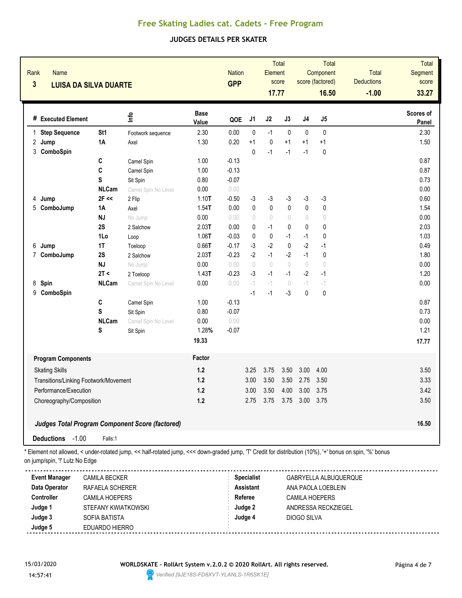## **JUDGES DETAILS PER SKATER**

| Rank<br><b>Name</b><br>$\overline{\mathbf{3}}$ | <b>LUISA DA SILVA DUARTE</b>    |                                                        |                      | <b>Nation</b><br><b>GPP</b> |                                  | Element<br>17.77  | Total<br>score                   |              | Total<br>Component<br>score (factored)<br>16.50 | <b>Total</b><br><b>Deductions</b><br>$-1.00$ | <b>Total</b><br>Segment<br>score<br>33.27 |
|------------------------------------------------|---------------------------------|--------------------------------------------------------|----------------------|-----------------------------|----------------------------------|-------------------|----------------------------------|--------------|-------------------------------------------------|----------------------------------------------|-------------------------------------------|
| # Executed Element                             |                                 | ۴ů                                                     | <b>Base</b><br>Value | QOE                         | J <sub>1</sub>                   | J2                | J3                               | J4           | J5                                              |                                              | Scores of<br>Panel                        |
| 1 Step Sequence                                | St <sub>1</sub>                 | Footwork sequence                                      | 2.30                 | 0.00                        | $\mathbf{0}$                     | $-1$              | $\pmb{0}$                        | $\mathbf{0}$ | $\pmb{0}$                                       |                                              | 2.30                                      |
| 2 Jump<br>3 ComboSpin                          | 1A                              | Axel                                                   | 1.30                 | 0.20                        | $+1$<br>$\mathbf 0$              | $\pmb{0}$<br>$-1$ | $+1$<br>$-1$                     | $+1$<br>$-1$ | $+1$<br>$\mathbf{0}$                            |                                              | 1.50                                      |
|                                                | C                               | Camel Spin                                             | 1.00                 | $-0.13$                     |                                  |                   |                                  |              |                                                 |                                              | 0.87                                      |
|                                                | C                               | Camel Spin                                             | 1.00                 | $-0.13$                     |                                  |                   |                                  |              |                                                 |                                              | 0.87                                      |
|                                                | $\mathbf s$                     | Sit Spin                                               | 0.80                 | $-0.07$                     |                                  |                   |                                  |              |                                                 |                                              | 0.73                                      |
|                                                | <b>NLCam</b>                    | Camel Spin No Level                                    | 0.00                 | 0.00                        |                                  |                   |                                  |              |                                                 |                                              | 0.00                                      |
| 4<br>Jump                                      | $2F \ll$                        | 2 Flip                                                 | $1.10$ T             | $-0.50$                     | $-3$                             | $-3$              | $-3$                             | $-3$         | $-3$                                            |                                              | 0.60                                      |
| 5 ComboJump                                    | 1A                              | Axel                                                   | $1.54$ T             | 0.00                        | $\pmb{0}$                        | $\pmb{0}$         | $\pmb{0}$                        | $\mathbf 0$  | $\pmb{0}$                                       |                                              | 1.54                                      |
|                                                | <b>NJ</b>                       | No Jump                                                | 0.00                 | 0.00                        | $\begin{array}{c} \n\end{array}$ | $\bigcirc$        | $\bigcirc$                       | $\bigcirc$   | $\bigcirc$                                      |                                              | 0.00                                      |
|                                                | 2S                              | 2 Salchow                                              | 2.03T                | 0.00                        | 0                                | $-1$              | 0                                | 0            | $\pmb{0}$                                       |                                              | 2.03                                      |
|                                                | 1Lo                             | Loop                                                   | 1.06T                | $-0.03$                     | $\mathbf 0$                      | $\pmb{0}$         | $-1$                             | $-1$         | $\pmb{0}$                                       |                                              | 1.03                                      |
| 6<br>Jump                                      | 1T                              | Toeloop                                                | 0.66T                | $-0.17$                     | $-3$                             | $-2$              | $\mathbf{0}$                     | $-2$         | $-1$                                            |                                              | 0.49                                      |
| 7 ComboJump                                    | 2S                              | 2 Salchow                                              | 2.03T                | $-0.23$                     | $-2$                             | $-1$              | $-2$                             | $-1$         | $\pmb{0}$                                       |                                              | 1.80                                      |
|                                                | <b>NJ</b>                       | No Jump                                                | 0.00                 | 0.00                        | $\bigcirc$                       | $\bigcirc$        | $\bigcirc$                       | $\bigcirc$   | $\bigcirc$                                      |                                              | 0.00                                      |
|                                                | 2T <                            | 2 Toeloop                                              | 1.43T                | $-0.23$                     | $-3$                             | $-1$              | $-1$                             | $-2$         | $-1$                                            |                                              | 1.20                                      |
| 8<br>Spin                                      | <b>NLCam</b>                    | Camel Spin No Level                                    | 0.00                 | 0.00                        | $-1$                             | $-1$              | $\begin{array}{c} \n\end{array}$ | $-1$         | $-1$                                            |                                              | 0.00                                      |
| 9 ComboSpin                                    |                                 |                                                        |                      |                             | $-1$                             | $-1$              | $-3$                             | $\mathbf 0$  | $\pmb{0}$                                       |                                              |                                           |
|                                                | $\mathbf{C}$                    | Camel Spin                                             | 1.00                 | $-0.13$                     |                                  |                   |                                  |              |                                                 |                                              | 0.87                                      |
|                                                | S                               | Sit Spin                                               | 0.80                 | $-0.07$                     |                                  |                   |                                  |              |                                                 |                                              | 0.73                                      |
|                                                | <b>NLCam</b>                    | Camel Spin No Level                                    | 0.00                 | 0.00                        |                                  |                   |                                  |              |                                                 |                                              | 0.00                                      |
|                                                | S                               | Sit Spin                                               | 1.28%                | $-0.07$                     |                                  |                   |                                  |              |                                                 |                                              | 1.21                                      |
|                                                |                                 |                                                        | 19.33                |                             |                                  |                   |                                  |              |                                                 |                                              | 17.77                                     |
| <b>Program Components</b>                      |                                 |                                                        | Factor               |                             |                                  |                   |                                  |              |                                                 |                                              |                                           |
| <b>Skating Skills</b>                          |                                 |                                                        | 1.2                  |                             | 3.25                             | 3.75              | 3.50                             | 3.00         | 4.00                                            |                                              | 3.50                                      |
| Transitions/Linking Footwork/Movement          |                                 |                                                        | 1.2                  |                             | 3.00                             | 3.50              | 3.50                             | 2.75         | 3.50                                            |                                              | 3.33                                      |
| Performance/Execution                          |                                 | 1.2                                                    |                      | 3.00                        | 3.50                             | 4.00              | 3.00                             | 3.75         |                                                 | 3.42                                         |                                           |
|                                                | 1.2<br>Choreography/Composition |                                                        |                      |                             | 2.75                             | 3.75              | 3.75                             | 3.00         | 3.75                                            |                                              | 3.50                                      |
|                                                |                                 | <b>Judges Total Program Component Score (factored)</b> |                      |                             |                                  |                   |                                  |              |                                                 |                                              | 16.50                                     |
| Deductions -1.00                               | Falls:1                         |                                                        |                      |                             |                                  |                   |                                  |              |                                                 |                                              |                                           |

| Event Manager     | <b>CAMILA BECKER</b> | <b>Specialist</b> | GABRYELLA ALBUQUERQUE |
|-------------------|----------------------|-------------------|-----------------------|
| Data Operator     | RAFAELA SCHERER      | <b>Assistant</b>  | ANA PAOLA LOEBLEIN    |
| <b>Controller</b> | CAMILA HOEPERS       | Referee           | CAMILA HOEPERS        |
| Judge 1           | STEFANY KWIATKOWSKI  | Judge 2           | ANDRESSA RECKZIEGEL   |
| Judge 3           | SOFIA BATISTA        | Judge 4           | DIOGO SILVA           |
| Judge 5           | EDUARDO HIERRO       |                   |                       |
|                   |                      |                   |                       |

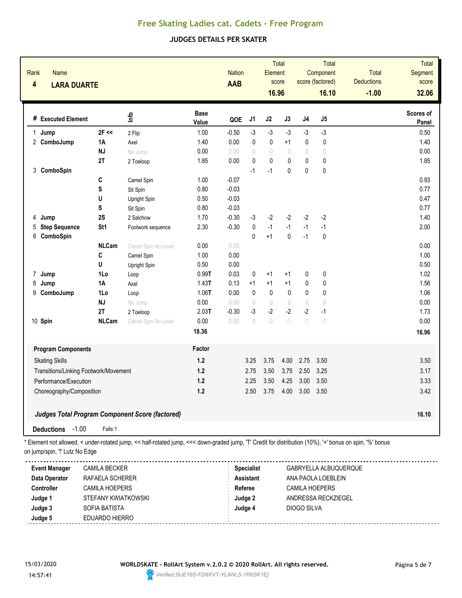#### **JUDGES DETAILS PER SKATER**

| Rank<br>$\overline{\mathbf{4}}$ | <b>Name</b><br><b>LARA DUARTE</b>     |                 |                                                 |                      | <b>Nation</b><br><b>AAB</b> |                                 | Element<br>16.96                 | Total<br>score |              | Total<br>Component<br>score (factored)<br>16.10 | <b>Total</b><br><b>Deductions</b><br>$-1.00$ | Total<br>Segment<br>score<br>32.06 |
|---------------------------------|---------------------------------------|-----------------|-------------------------------------------------|----------------------|-----------------------------|---------------------------------|----------------------------------|----------------|--------------|-------------------------------------------------|----------------------------------------------|------------------------------------|
|                                 | # Executed Element                    |                 | ١fe                                             | <b>Base</b><br>Value | QOE                         | J <sub>1</sub>                  | J2                               | J3             | J4           | J5                                              |                                              | Scores of<br>Panel                 |
| 1 Jump                          |                                       | $2F \ll$        | 2 Flip                                          | 1.00                 | $-0.50$                     | $-3$                            | $-3$                             | $-3$           | $-3$         | $-3$                                            |                                              | 0.50                               |
|                                 | 2 ComboJump                           | 1A              | Axel                                            | 1.40                 | 0.00                        | 0                               | $\pmb{0}$                        | $+1$           | $\mathbf 0$  | $\pmb{0}$                                       |                                              | 1.40                               |
|                                 |                                       | <b>NJ</b>       | No Jump                                         | 0.00                 | 0.00                        | $\sqrt{ }$                      | $\begin{array}{c} \n\end{array}$ | $\sqrt{ }$     | $\sqrt{ }$   | $\begin{array}{c} \n\end{array}$                |                                              | 0.00                               |
|                                 |                                       | 2T              | 2 Toeloop                                       | 1.85                 | 0.00                        | $\mathbf 0$                     | $\mathbf{0}$                     | $\pmb{0}$      | $\mathbf{0}$ | $\pmb{0}$                                       |                                              | 1.85                               |
|                                 | 3 ComboSpin                           |                 |                                                 |                      |                             | $-1$                            | $-1$                             | 0              | $\mathbf{0}$ | $\mathbf 0$                                     |                                              |                                    |
|                                 |                                       | C               | Camel Spin                                      | 1.00                 | $-0.07$                     |                                 |                                  |                |              |                                                 |                                              | 0.93                               |
|                                 |                                       | S               | Sit Spin                                        | 0.80                 | $-0.03$                     |                                 |                                  |                |              |                                                 |                                              | 0.77                               |
|                                 |                                       | U               | Upright Spin                                    | 0.50                 | $-0.03$                     |                                 |                                  |                |              |                                                 |                                              | 0.47                               |
|                                 |                                       | S               | Sit Spin                                        | 0.80                 | $-0.03$                     |                                 |                                  |                |              |                                                 |                                              | 0.77                               |
| Jump<br>4                       |                                       | 2S              | 2 Salchow                                       | 1.70                 | $-0.30$                     | $-3$                            | $-2$                             | $-2$           | $-2$         | $-2$                                            |                                              | 1.40                               |
| 5                               | <b>Step Sequence</b>                  | St <sub>1</sub> | Footwork sequence                               | 2.30                 | $-0.30$                     | 0                               | $-1$                             | $-1$           | $-1$         | $-1$                                            |                                              | 2.00                               |
| 6                               | ComboSpin                             |                 |                                                 |                      |                             | $\Omega$                        | $+1$                             | 0              | $-1$         | $\mathbf{0}$                                    |                                              |                                    |
|                                 |                                       | <b>NLCam</b>    | Camel Spin No Level                             | 0.00                 | 0.00                        |                                 |                                  |                |              |                                                 |                                              | 0.00                               |
|                                 |                                       | C               | Camel Spin                                      | 1.00                 | 0.00                        |                                 |                                  |                |              |                                                 |                                              | 1.00                               |
|                                 |                                       | U               | Upright Spin                                    | 0.50                 | 0.00                        |                                 |                                  |                |              |                                                 |                                              | 0.50                               |
| $\overline{7}$<br>Jump          |                                       | 1Lo             | Loop                                            | 0.99T                | 0.03                        | 0                               | $+1$                             | $+1$           | 0            | 0                                               |                                              | 1.02                               |
| 8<br>Jump                       |                                       | <b>1A</b>       | Axel                                            | 1.43T                | 0.13                        | $+1$                            | $+1$                             | $+1$           | $\mathbf{0}$ | 0                                               |                                              | 1.56                               |
| 9                               | ComboJump                             | 1Lo             | Loop                                            | $1.06$ T             | 0.00                        | $\mathbf{0}$                    | $\pmb{0}$                        | 0              | 0            | $\mathbf{0}$                                    |                                              | 1.06                               |
|                                 |                                       | <b>NJ</b>       | No Jump                                         | 0.00                 | 0.00                        | $\begin{matrix} 0 \end{matrix}$ | $\bigcirc$                       | $\bigcirc$     | $\theta$     | $\bigcirc$                                      |                                              | 0.00                               |
|                                 |                                       | 2T              | 2 Toeloop                                       | 2.03T                | $-0.30$                     | $-3$                            | $-2$                             | $-2$           | $-2$         | $-1$                                            |                                              | 1.73                               |
| 10 Spin                         |                                       | <b>NLCam</b>    | Camel Spin No Level                             | 0.00                 | 0.00                        | $\sqrt{ }$                      | $-3$                             | $-1$           | $-1$         | $^{\rm -4}$                                     |                                              | 0.00                               |
|                                 |                                       |                 |                                                 | 18.36                |                             |                                 |                                  |                |              |                                                 |                                              | 16.96                              |
|                                 | <b>Program Components</b>             |                 |                                                 | Factor               |                             |                                 |                                  |                |              |                                                 |                                              |                                    |
|                                 | <b>Skating Skills</b>                 |                 |                                                 | 1.2                  |                             | 3.25                            | 3.75                             | 4.00           | 2.75         | 3.50                                            |                                              | 3.50                               |
|                                 | Transitions/Linking Footwork/Movement |                 |                                                 | 1.2                  |                             | 2.75                            | 3.50                             | 3.75           | 2.50         | 3.25                                            |                                              | 3.17                               |
|                                 | Performance/Execution                 |                 |                                                 | 1.2                  |                             | 2.25                            | 3.50                             | 4.25           | 3.00         | 3.50                                            |                                              | 3.33                               |
|                                 | Choreography/Composition              |                 | 1.2                                             |                      | 2.50                        | 3.75                            | 4.00                             | 3.00           | 3.50         |                                                 | 3.42                                         |                                    |
|                                 |                                       |                 | Judges Total Program Component Score (factored) |                      |                             |                                 |                                  |                |              |                                                 |                                              | 16.10                              |
| <b>Deductions</b>               | $-1.00$                               | Falls:1         |                                                 |                      |                             |                                 |                                  |                |              |                                                 |                                              |                                    |

| <b>Event Manager</b> | <b>CAMILA BECKER</b>  | <b>Specialist</b> | GABRYELLA ALBUQUERQUE |
|----------------------|-----------------------|-------------------|-----------------------|
| Data Operator        | RAFAELA SCHERER       | <b>Assistant</b>  | ANA PAOLA LOEBLEIN    |
| <b>Controller</b>    | <b>CAMILA HOEPERS</b> | Referee           | <b>CAMILA HOEPERS</b> |
| Judge 1              | STEFANY KWIATKOWSKI   | Judge 2           | ANDRESSA RECKZIEGEL   |
| Judge 3              | SOFIA BATISTA         | Judge 4           | DIOGO SILVA           |
| Judge 5              | EDUARDO HIERRO        |                   |                       |

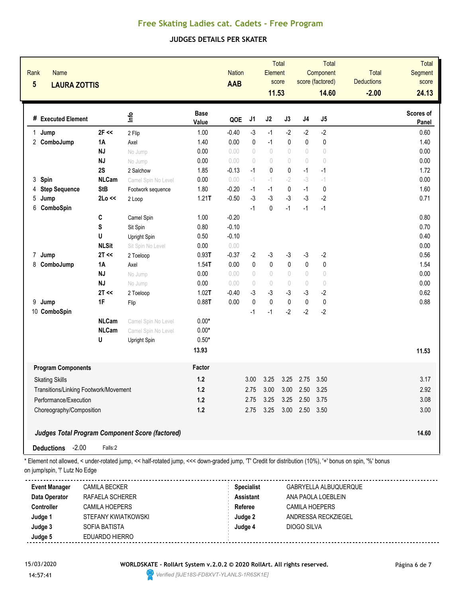#### **JUDGES DETAILS PER SKATER**

| Rank<br><b>Name</b><br>$5\phantom{1}$<br><b>LAURA ZOTTIS</b> |              |                                                        |                      | <b>Nation</b><br>AAB |                                  | Element<br>11.53                 | <b>Total</b><br>score |                                  | Total<br>Component<br>score (factored)<br>14.60 | <b>Total</b><br><b>Deductions</b><br>$-2.00$ | Total<br>Segment<br>score<br>24.13 |
|--------------------------------------------------------------|--------------|--------------------------------------------------------|----------------------|----------------------|----------------------------------|----------------------------------|-----------------------|----------------------------------|-------------------------------------------------|----------------------------------------------|------------------------------------|
| # Executed Element                                           |              | lnfo                                                   | <b>Base</b><br>Value | QOE                  | J1                               | J2                               | J3                    | J4                               | J5                                              |                                              | <b>Scores of</b><br>Panel          |
| 1 Jump                                                       | $2F \ll$     | 2 Flip                                                 | 1.00                 | $-0.40$              | $-3$                             | $-1$                             | $-2$                  | $-2$                             | $-2$                                            |                                              | 0.60                               |
| 2 ComboJump                                                  | 1Α           | Axel                                                   | 1.40                 | 0.00                 | 0                                | $-1$                             | 0                     | 0                                | $\pmb{0}$                                       |                                              | 1.40                               |
|                                                              | NJ           | No Jump                                                | 0.00                 | 0.00                 | $\bigcirc$                       | $\bigcirc$                       | $\bigcirc$            | $\begin{array}{c} \n\end{array}$ | $\bigcirc$                                      |                                              | 0.00                               |
|                                                              | NJ           | No Jump                                                | 0.00                 | 0.00                 | $\bigcirc$                       | $\begin{array}{c} \n\end{array}$ | $\bigcirc$            | $\bigcirc$                       | $\bigcirc$                                      |                                              | 0.00                               |
|                                                              | 2S           | 2 Salchow                                              | 1.85                 | $-0.13$              | $-1$                             | $\mathbf{0}$                     | 0                     | $-1$                             | $-1$                                            |                                              | 1.72                               |
| 3 Spin                                                       | <b>NLCam</b> | Camel Spin No Level                                    | 0.00                 | 0.00                 | $-1$                             | $-1$                             | $-2$                  | $-3$                             | $-1$                                            |                                              | 0.00                               |
| <b>Step Sequence</b><br>4                                    | <b>StB</b>   | Footwork sequence                                      | 1.80                 | $-0.20$              | $-1$                             | $-1$                             | $\pmb{0}$             | $-1$                             | $\mathbf 0$                                     |                                              | 1.60                               |
| 5<br>Jump                                                    | 2Lo <<       | 2 Loop                                                 | 1.21T                | $-0.50$              | $-3$                             | $-3$                             | $-3$                  | $-3$                             | $-2$                                            |                                              | 0.71                               |
| 6<br>ComboSpin                                               |              |                                                        |                      |                      | $-1$                             | $\mathbf 0$                      | $-1$                  | $-1$                             | $-1$                                            |                                              |                                    |
|                                                              | $\mathbf{C}$ | Camel Spin                                             | 1.00                 | $-0.20$              |                                  |                                  |                       |                                  |                                                 |                                              | 0.80                               |
|                                                              | ${\bf S}$    | Sit Spin                                               | 0.80                 | $-0.10$              |                                  |                                  |                       |                                  |                                                 |                                              | 0.70                               |
|                                                              | U            | Upright Spin                                           | 0.50                 | $-0.10$              |                                  |                                  |                       |                                  |                                                 |                                              | 0.40                               |
|                                                              | <b>NLSit</b> | Sit Spin No Level                                      | 0.00                 | 0.00                 |                                  |                                  |                       |                                  |                                                 |                                              | 0.00                               |
| 7 Jump                                                       | 2T <         | 2 Toeloop                                              | 0.93T                | $-0.37$              | $-2$                             | $-3$                             | $-3$                  | $-3$                             | $-2$                                            |                                              | 0.56                               |
| 8 ComboJump                                                  | 1A           | Axel                                                   | $1.54$ T             | 0.00                 | $\mathbf 0$                      | $\mathbf{0}$                     | 0                     | $\pmb{0}$                        | $\pmb{0}$                                       |                                              | 1.54                               |
|                                                              | <b>NJ</b>    | No Jump                                                | 0.00                 | 0.00                 | $\begin{array}{c} \n\end{array}$ | $\cup$                           | 0                     | $\begin{array}{c} \n\end{array}$ | $\circ$                                         |                                              | 0.00                               |
|                                                              | <b>NJ</b>    | No Jump                                                | 0.00                 | 0.00                 | $\bigcirc$                       | $\bigcirc$                       | $\bigcirc$            | $\bigcirc$                       | $\bigcirc$                                      |                                              | 0.00                               |
|                                                              | 2T <<        | 2 Toeloop                                              | 1.02T                | $-0.40$              | $-3$                             | -3                               | $-3$                  | $-3$                             | $-2$                                            |                                              | 0.62                               |
| 9 Jump                                                       | 1F           | Flip                                                   | 0.88T                | 0.00                 | $\pmb{0}$                        | $\mathbf{0}$                     | $\mathbf{0}$          | $\pmb{0}$                        | $\pmb{0}$                                       |                                              | 0.88                               |
| 10 ComboSpin                                                 |              |                                                        |                      |                      | $-1$                             | $-1$                             | $-2$                  | $-2$                             | $-2$                                            |                                              |                                    |
|                                                              | <b>NLCam</b> | Camel Spin No Level                                    | $0.00*$              |                      |                                  |                                  |                       |                                  |                                                 |                                              |                                    |
|                                                              | <b>NLCam</b> | Camel Spin No Level                                    | $0.00*$              |                      |                                  |                                  |                       |                                  |                                                 |                                              |                                    |
|                                                              | U            | Upright Spin                                           | $0.50*$              |                      |                                  |                                  |                       |                                  |                                                 |                                              |                                    |
|                                                              |              |                                                        | 13.93                |                      |                                  |                                  |                       |                                  |                                                 |                                              | 11.53                              |
| <b>Program Components</b>                                    |              |                                                        | Factor               |                      |                                  |                                  |                       |                                  |                                                 |                                              |                                    |
| <b>Skating Skills</b>                                        |              |                                                        | $1.2$                |                      | 3.00                             | 3.25                             | 3.25                  | 2.75                             | 3.50                                            |                                              | 3.17                               |
| Transitions/Linking Footwork/Movement                        |              |                                                        | $1.2$                |                      | 2.75                             | 3.00                             | 3.00                  | 2.50                             | 3.25                                            |                                              | 2.92                               |
| Performance/Execution                                        |              |                                                        | $1.2$                |                      | 2.75                             | 3.25                             | 3.25                  | 2.50                             | 3.75                                            |                                              | 3.08                               |
| Choreography/Composition                                     |              |                                                        | 1.2                  |                      | 2.75                             | 3.25                             | 3.00                  | 2.50                             | 3.50                                            |                                              | 3.00                               |
|                                                              |              | <b>Judges Total Program Component Score (factored)</b> |                      |                      |                                  |                                  |                       |                                  |                                                 |                                              | 14.60                              |
| $-2.00$<br><b>Deductions</b>                                 | Falls:2      |                                                        |                      |                      |                                  |                                  |                       |                                  |                                                 |                                              |                                    |

\* Element not allowed, < under-rotated jump, << half-rotated jump, <<< down-graded jump, 'T' Credit for distribution (10%), '+' bonus on spin, '%' bonus on jump/spin, "!' Lutz No Edge

| <b>Event Manager</b> | <b>CAMILA BECKER</b> | <b>Specialist</b> | GABRYELLA ALBUQUERQUE |  |
|----------------------|----------------------|-------------------|-----------------------|--|
| Data Operator        | RAFAELA SCHERER      | <b>Assistant</b>  | ANA PAOLA LOEBLEIN    |  |
| <b>Controller</b>    | CAMILA HOEPERS       | Referee           | CAMILA HOEPERS        |  |
| Judge 1              | STEFANY KWIATKOWSKI  | Judge 2           | ANDRESSA RECKZIEGEL   |  |
| Judge 3              | SOFIA BATISTA        | Judge 4           | DIOGO SILVA           |  |
| Judge 5              | EDUARDO HIERRO       |                   |                       |  |

15/03/2020 **WORLDSKATE - RollArt System v.2.0.2 © 2020 RollArt. All rights reserved.** Página 6 de 7

14:57:41 *Verified [9JE18S-FD8XVT-YLANLS-1R6SK1E]*